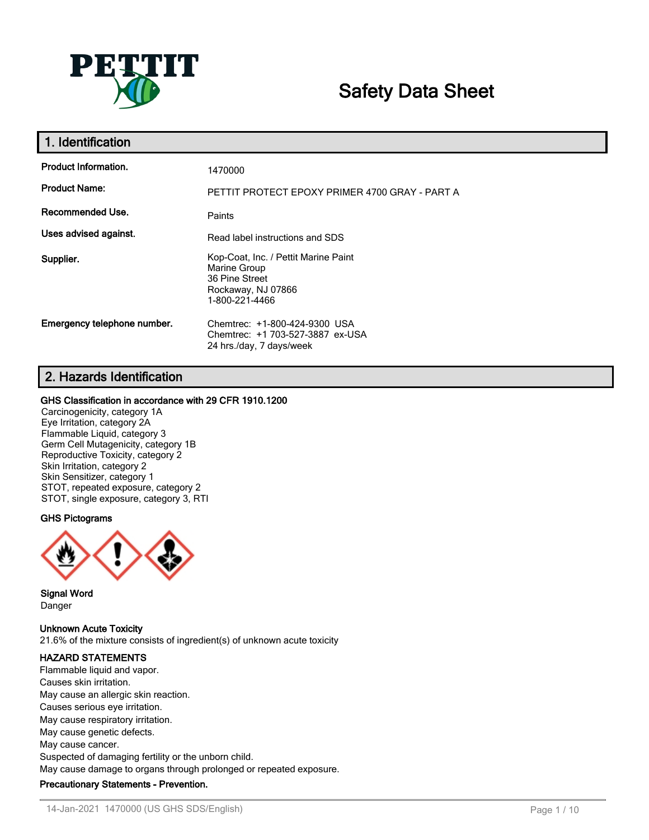

# **Safety Data Sheet**

| 1. Identification           |                                                                                                                |
|-----------------------------|----------------------------------------------------------------------------------------------------------------|
| <b>Product Information.</b> | 1470000                                                                                                        |
| <b>Product Name:</b>        | PETTIT PROTECT EPOXY PRIMER 4700 GRAY - PART A                                                                 |
| Recommended Use.            | Paints                                                                                                         |
| Uses advised against.       | Read label instructions and SDS                                                                                |
| Supplier.                   | Kop-Coat, Inc. / Pettit Marine Paint<br>Marine Group<br>36 Pine Street<br>Rockaway, NJ 07866<br>1-800-221-4466 |
| Emergency telephone number. | Chemtrec: +1-800-424-9300 USA<br>Chemtrec: +1 703-527-3887 ex-USA<br>24 hrs./day, 7 days/week                  |

# **2. Hazards Identification**

## **GHS Classification in accordance with 29 CFR 1910.1200**

Carcinogenicity, category 1A Eye Irritation, category 2A Flammable Liquid, category 3 Germ Cell Mutagenicity, category 1B Reproductive Toxicity, category 2 Skin Irritation, category 2 Skin Sensitizer, category 1 STOT, repeated exposure, category 2 STOT, single exposure, category 3, RTI

# **GHS Pictograms**



**Signal Word** Danger

**Unknown Acute Toxicity**

21.6% of the mixture consists of ingredient(s) of unknown acute toxicity

## **HAZARD STATEMENTS**

Flammable liquid and vapor. Causes skin irritation. May cause an allergic skin reaction. Causes serious eye irritation. May cause respiratory irritation. May cause genetic defects. May cause cancer. Suspected of damaging fertility or the unborn child. May cause damage to organs through prolonged or repeated exposure. **Precautionary Statements - Prevention.**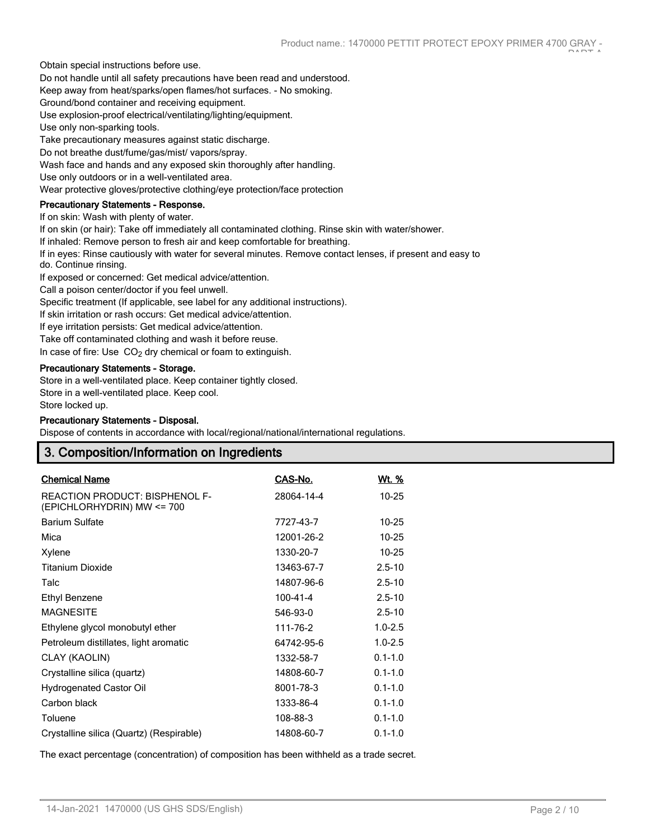Obtain special instructions before use.

Do not handle until all safety precautions have been read and understood.

Keep away from heat/sparks/open flames/hot surfaces. - No smoking.

Ground/bond container and receiving equipment.

Use explosion-proof electrical/ventilating/lighting/equipment.

Use only non-sparking tools.

Take precautionary measures against static discharge.

Do not breathe dust/fume/gas/mist/ vapors/spray.

Wash face and hands and any exposed skin thoroughly after handling.

Use only outdoors or in a well-ventilated area.

Wear protective gloves/protective clothing/eye protection/face protection

## **Precautionary Statements - Response.**

If on skin: Wash with plenty of water.

If on skin (or hair): Take off immediately all contaminated clothing. Rinse skin with water/shower.

If inhaled: Remove person to fresh air and keep comfortable for breathing.

If in eyes: Rinse cautiously with water for several minutes. Remove contact lenses, if present and easy to do. Continue rinsing.

If exposed or concerned: Get medical advice/attention.

Call a poison center/doctor if you feel unwell.

Specific treatment (If applicable, see label for any additional instructions).

If skin irritation or rash occurs: Get medical advice/attention.

If eye irritation persists: Get medical advice/attention.

Take off contaminated clothing and wash it before reuse.

In case of fire: Use  $CO<sub>2</sub>$  dry chemical or foam to extinguish.

#### **Precautionary Statements - Storage.**

Store in a well-ventilated place. Keep container tightly closed.

Store in a well-ventilated place. Keep cool.

Store locked up.

#### **Precautionary Statements - Disposal.**

Dispose of contents in accordance with local/regional/national/international regulations.

# **3. Composition/Information on Ingredients**

| <b>Chemical Name</b>                                         | CAS-No.        | <u>Wt. %</u> |
|--------------------------------------------------------------|----------------|--------------|
| REACTION PRODUCT: BISPHENOL F-<br>(EPICHLORHYDRIN) MW <= 700 | 28064-14-4     | $10 - 25$    |
| <b>Barium Sulfate</b>                                        | 7727-43-7      | $10 - 25$    |
| Mica                                                         | 12001-26-2     | $10 - 25$    |
| Xylene                                                       | 1330-20-7      | $10 - 25$    |
| <b>Titanium Dioxide</b>                                      | 13463-67-7     | $2.5 - 10$   |
| Talc                                                         | 14807-96-6     | $2.5 - 10$   |
| Ethyl Benzene                                                | $100 - 41 - 4$ | $2.5 - 10$   |
| <b>MAGNESITE</b>                                             | 546-93-0       | $2.5 - 10$   |
| Ethylene glycol monobutyl ether                              | 111-76-2       | $1.0 - 2.5$  |
| Petroleum distillates, light aromatic                        | 64742-95-6     | $1.0 - 2.5$  |
| CLAY (KAOLIN)                                                | 1332-58-7      | $0.1 - 1.0$  |
| Crystalline silica (quartz)                                  | 14808-60-7     | $0.1 - 1.0$  |
| <b>Hydrogenated Castor Oil</b>                               | 8001-78-3      | $0.1 - 1.0$  |
| Carbon black                                                 | 1333-86-4      | $0.1 - 1.0$  |
| Toluene                                                      | 108-88-3       | $0.1 - 1.0$  |
| Crystalline silica (Quartz) (Respirable)                     | 14808-60-7     | $0.1 - 1.0$  |

The exact percentage (concentration) of composition has been withheld as a trade secret.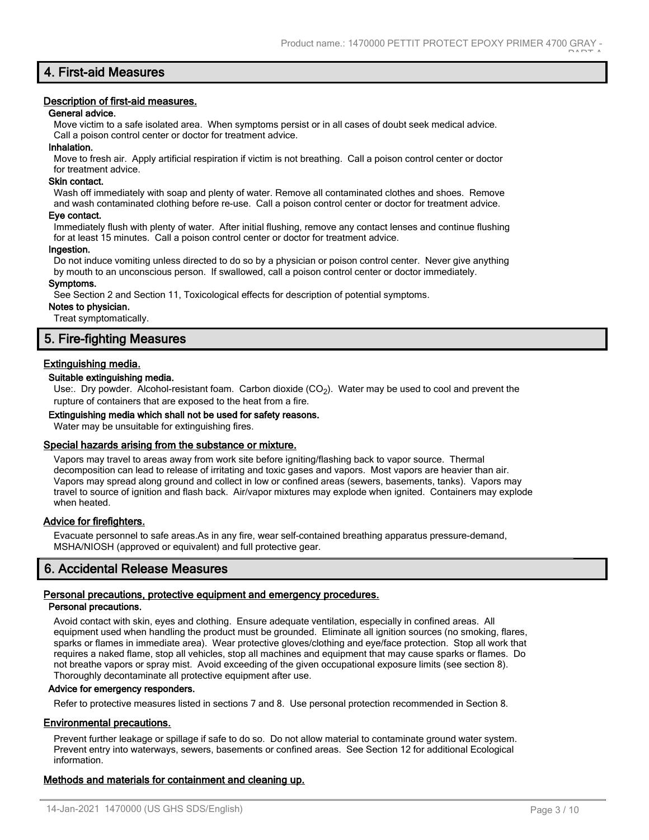# **4. First-aid Measures**

#### **Description of first-aid measures.**

## **General advice.**

Move victim to a safe isolated area. When symptoms persist or in all cases of doubt seek medical advice. Call a poison control center or doctor for treatment advice.

#### **Inhalation.**

Move to fresh air. Apply artificial respiration if victim is not breathing. Call a poison control center or doctor for treatment advice.

## **Skin contact.**

Wash off immediately with soap and plenty of water. Remove all contaminated clothes and shoes. Remove and wash contaminated clothing before re-use. Call a poison control center or doctor for treatment advice.

#### **Eye contact.**

Immediately flush with plenty of water. After initial flushing, remove any contact lenses and continue flushing for at least 15 minutes. Call a poison control center or doctor for treatment advice.

#### **Ingestion.**

Do not induce vomiting unless directed to do so by a physician or poison control center. Never give anything by mouth to an unconscious person. If swallowed, call a poison control center or doctor immediately.

#### **Symptoms.**

See Section 2 and Section 11, Toxicological effects for description of potential symptoms.

## **Notes to physician.**

Treat symptomatically.

# **5. Fire-fighting Measures**

## **Extinguishing media.**

#### **Suitable extinguishing media.**

Use:. Dry powder. Alcohol-resistant foam. Carbon dioxide  $(CO<sub>2</sub>)$ . Water may be used to cool and prevent the rupture of containers that are exposed to the heat from a fire.

#### **Extinguishing media which shall not be used for safety reasons.**

Water may be unsuitable for extinguishing fires.

#### **Special hazards arising from the substance or mixture.**

Vapors may travel to areas away from work site before igniting/flashing back to vapor source. Thermal decomposition can lead to release of irritating and toxic gases and vapors. Most vapors are heavier than air. Vapors may spread along ground and collect in low or confined areas (sewers, basements, tanks). Vapors may travel to source of ignition and flash back. Air/vapor mixtures may explode when ignited. Containers may explode when heated.

#### **Advice for firefighters.**

Evacuate personnel to safe areas.As in any fire, wear self-contained breathing apparatus pressure-demand, MSHA/NIOSH (approved or equivalent) and full protective gear.

# **6. Accidental Release Measures**

# **Personal precautions, protective equipment and emergency procedures.**

## **Personal precautions.**

Avoid contact with skin, eyes and clothing. Ensure adequate ventilation, especially in confined areas. All equipment used when handling the product must be grounded. Eliminate all ignition sources (no smoking, flares, sparks or flames in immediate area). Wear protective gloves/clothing and eye/face protection. Stop all work that requires a naked flame, stop all vehicles, stop all machines and equipment that may cause sparks or flames. Do not breathe vapors or spray mist. Avoid exceeding of the given occupational exposure limits (see section 8). Thoroughly decontaminate all protective equipment after use.

# **Advice for emergency responders.**

Refer to protective measures listed in sections 7 and 8. Use personal protection recommended in Section 8.

# **Environmental precautions.**

Prevent further leakage or spillage if safe to do so. Do not allow material to contaminate ground water system. Prevent entry into waterways, sewers, basements or confined areas. See Section 12 for additional Ecological information.

# **Methods and materials for containment and cleaning up.**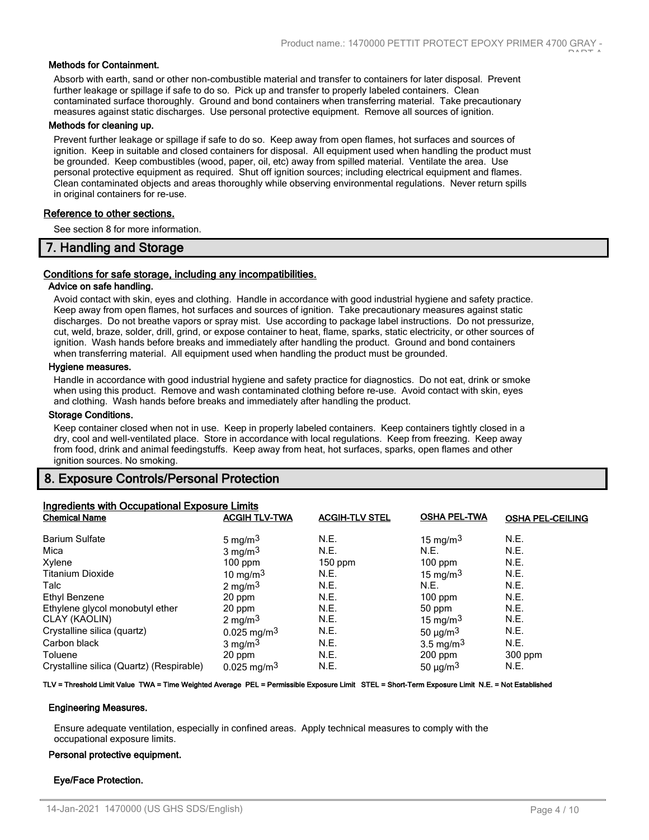## **Methods for Containment.**

Absorb with earth, sand or other non-combustible material and transfer to containers for later disposal. Prevent further leakage or spillage if safe to do so. Pick up and transfer to properly labeled containers. Clean contaminated surface thoroughly. Ground and bond containers when transferring material. Take precautionary measures against static discharges. Use personal protective equipment. Remove all sources of ignition.

#### **Methods for cleaning up.**

Prevent further leakage or spillage if safe to do so. Keep away from open flames, hot surfaces and sources of ignition. Keep in suitable and closed containers for disposal. All equipment used when handling the product must be grounded. Keep combustibles (wood, paper, oil, etc) away from spilled material. Ventilate the area. Use personal protective equipment as required. Shut off ignition sources; including electrical equipment and flames. Clean contaminated objects and areas thoroughly while observing environmental regulations. Never return spills in original containers for re-use.

## **Reference to other sections.**

See section 8 for more information.

# **7. Handling and Storage**

## **Conditions for safe storage, including any incompatibilities.**

# **Advice on safe handling.**

Avoid contact with skin, eyes and clothing. Handle in accordance with good industrial hygiene and safety practice. Keep away from open flames, hot surfaces and sources of ignition. Take precautionary measures against static discharges. Do not breathe vapors or spray mist. Use according to package label instructions. Do not pressurize, cut, weld, braze, solder, drill, grind, or expose container to heat, flame, sparks, static electricity, or other sources of ignition. Wash hands before breaks and immediately after handling the product. Ground and bond containers when transferring material. All equipment used when handling the product must be grounded.

#### **Hygiene measures.**

Handle in accordance with good industrial hygiene and safety practice for diagnostics. Do not eat, drink or smoke when using this product. Remove and wash contaminated clothing before re-use. Avoid contact with skin, eyes and clothing. Wash hands before breaks and immediately after handling the product.

#### **Storage Conditions.**

Keep container closed when not in use. Keep in properly labeled containers. Keep containers tightly closed in a dry, cool and well-ventilated place. Store in accordance with local regulations. Keep from freezing. Keep away from food, drink and animal feedingstuffs. Keep away from heat, hot surfaces, sparks, open flames and other ignition sources. No smoking.

# **8. Exposure Controls/Personal Protection**

| <b>Ingredients with Occupational Exposure Limits</b> |                           |                       |                           |                         |
|------------------------------------------------------|---------------------------|-----------------------|---------------------------|-------------------------|
| <b>Chemical Name</b>                                 | <b>ACGIH TLV-TWA</b>      | <b>ACGIH-TLV STEL</b> | <b>OSHA PEL-TWA</b>       | <b>OSHA PEL-CEILING</b> |
| <b>Barium Sulfate</b>                                | 5 mg/m $3$                | N.E.                  | 15 mg/m $3$               | N.E.                    |
| Mica                                                 | $3 \text{ mg/m}^3$        | N.E.                  | N.E.                      | N.E.                    |
| Xylene                                               | $100$ ppm                 | $150$ ppm             | $100$ ppm                 | N.E.                    |
| <b>Titanium Dioxide</b>                              | 10 mg/m $3$               | N.E.                  | 15 mg/m $3$               | N.E.                    |
| Talc                                                 | 2 mg/m $3$                | N.E.                  | N.E.                      | N.E.                    |
| Ethyl Benzene                                        | 20 ppm                    | N.E.                  | $100$ ppm                 | N.E.                    |
| Ethylene glycol monobutyl ether                      | 20 ppm                    | N.E.                  | 50 ppm                    | N.E.                    |
| CLAY (KAOLIN)                                        | 2 mg/m $3$                | N.E.                  | 15 mg/m $3$               | N.E.                    |
| Crystalline silica (quartz)                          | $0.025$ mg/m <sup>3</sup> | N.E.                  | 50 $\mu$ g/m <sup>3</sup> | N.E.                    |
| Carbon black                                         | $3 \text{ mg/m}^3$        | N.E.                  | $3.5 \text{ mg/m}^3$      | N.E.                    |
| Toluene                                              | 20 ppm                    | N.E.                  | $200$ ppm                 | $300$ ppm               |
| Crystalline silica (Quartz) (Respirable)             | $0.025$ mg/m <sup>3</sup> | N.E.                  | 50 $\mu$ g/m <sup>3</sup> | N.E.                    |

#### **TLV = Threshold Limit Value TWA = Time Weighted Average PEL = Permissible Exposure Limit STEL = Short-Term Exposure Limit N.E. = Not Established**

#### **Engineering Measures.**

Ensure adequate ventilation, especially in confined areas. Apply technical measures to comply with the occupational exposure limits.

#### **Personal protective equipment.**

#### **Eye/Face Protection.**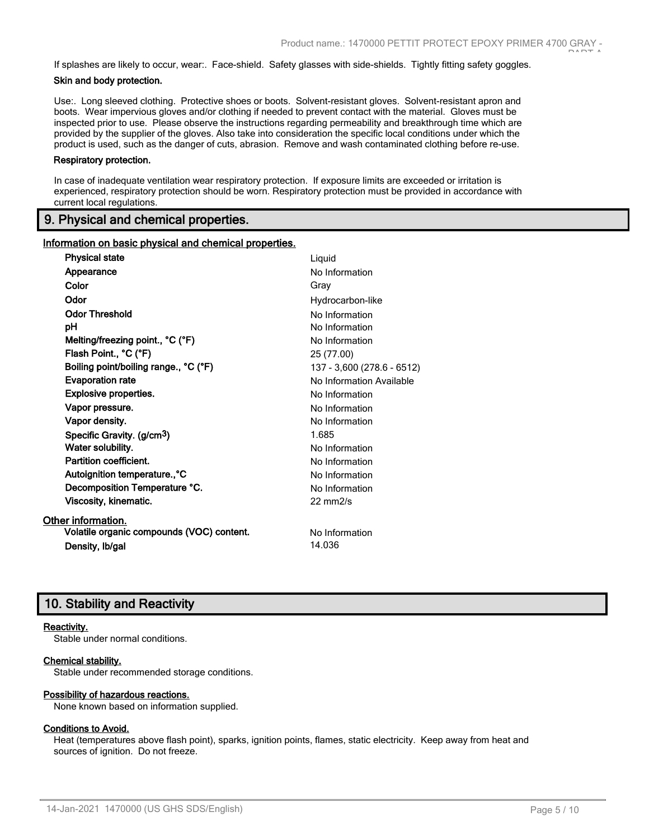If splashes are likely to occur, wear:. Face-shield. Safety glasses with side-shields. Tightly fitting safety goggles.

## **Skin and body protection.**

Use:. Long sleeved clothing. Protective shoes or boots. Solvent-resistant gloves. Solvent-resistant apron and boots. Wear impervious gloves and/or clothing if needed to prevent contact with the material. Gloves must be inspected prior to use. Please observe the instructions regarding permeability and breakthrough time which are provided by the supplier of the gloves. Also take into consideration the specific local conditions under which the product is used, such as the danger of cuts, abrasion. Remove and wash contaminated clothing before re-use.

#### **Respiratory protection.**

In case of inadequate ventilation wear respiratory protection. If exposure limits are exceeded or irritation is experienced, respiratory protection should be worn. Respiratory protection must be provided in accordance with current local regulations.

# **9. Physical and chemical properties.**

## **Information on basic physical and chemical properties.**

| <b>Physical state</b>                     | Liquid                     |
|-------------------------------------------|----------------------------|
| Appearance                                | No Information             |
| Color                                     | Gray                       |
| Odor                                      | Hydrocarbon-like           |
| <b>Odor Threshold</b>                     | No Information             |
| рH                                        | No Information             |
| Melting/freezing point., °C (°F)          | No Information             |
| Flash Point., °C (°F)                     | 25 (77.00)                 |
| Boiling point/boiling range., °C (°F)     | 137 - 3,600 (278.6 - 6512) |
| <b>Evaporation rate</b>                   | No Information Available   |
| Explosive properties.                     | No Information             |
| Vapor pressure.                           | No Information             |
| Vapor density.                            | No Information             |
| Specific Gravity. (g/cm <sup>3</sup> )    | 1.685                      |
| Water solubility.                         | No Information             |
| Partition coefficient.                    | No Information             |
| Autoignition temperature., °C             | No Information             |
| Decomposition Temperature °C.             | No Information             |
| Viscosity, kinematic.                     | $22 \text{ mm}$ 2/s        |
| Other information.                        |                            |
| Volatile organic compounds (VOC) content. | No Information             |
| Density, Ib/gal                           | 14.036                     |
|                                           |                            |

# **10. Stability and Reactivity**

#### **Reactivity.**

Stable under normal conditions.

#### **Chemical stability.**

Stable under recommended storage conditions.

## **Possibility of hazardous reactions.**

None known based on information supplied.

## **Conditions to Avoid.**

Heat (temperatures above flash point), sparks, ignition points, flames, static electricity. Keep away from heat and sources of ignition. Do not freeze.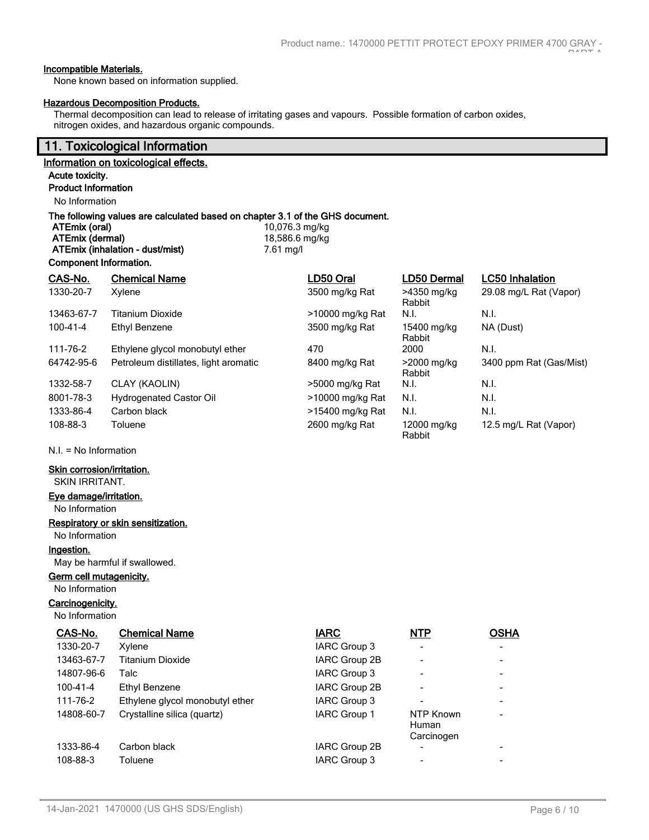## **Incompatible Materials.**

None known based on information supplied.

## **Hazardous Decomposition Products.**

Thermal decomposition can lead to release of irritating gases and vapours. Possible formation of carbon oxides, nitrogen oxides, and hazardous organic compounds.

# **11. Toxicological Information**

# **Information on toxicological effects.**

#### **Acute toxicity. Product Information**

No Information

**Component Information.**

# **The following values are calculated based on chapter 3.1 of the GHS document.**

**ATEmix (oral) 10,076.3 mg/kg ATEmix (dermal)** 18,586.6 mg/kg **ATEmix (inhalation - dust/mist)** 7.61 mg/l

| Component information. |                                       |                  |                       |                         |
|------------------------|---------------------------------------|------------------|-----------------------|-------------------------|
| CAS-No.                | <b>Chemical Name</b>                  | LD50 Oral        | <b>LD50 Dermal</b>    | <b>LC50 Inhalation</b>  |
| 1330-20-7              | Xylene                                | 3500 mg/kg Rat   | >4350 mg/kg<br>Rabbit | 29.08 mg/L Rat (Vapor)  |
| 13463-67-7             | <b>Titanium Dioxide</b>               | >10000 mg/kg Rat | N.I.                  | N.I.                    |
| 100-41-4               | Ethyl Benzene                         | 3500 mg/kg Rat   | 15400 mg/kg<br>Rabbit | NA (Dust)               |
| 111-76-2               | Ethylene glycol monobutyl ether       | 470              | 2000                  | N.I.                    |
| 64742-95-6             | Petroleum distillates, light aromatic | 8400 mg/kg Rat   | >2000 mg/kg<br>Rabbit | 3400 ppm Rat (Gas/Mist) |
| 1332-58-7              | CLAY (KAOLIN)                         | >5000 mg/kg Rat  | N.I.                  | N.I.                    |
| 8001-78-3              | Hydrogenated Castor Oil               | >10000 mg/kg Rat | N.I.                  | N.I.                    |
| 1333-86-4              | Carbon black                          | >15400 mg/kg Rat | N.I.                  | N.I.                    |
| 108-88-3               | Toluene                               | 2600 mg/kg Rat   | 12000 mg/kg<br>Rabbit | 12.5 mg/L Rat (Vapor)   |

N.I. = No Information

# **Skin corrosion/irritation.**

SKIN IRRITANT.

# **Eye damage/irritation.**

No Information

# **Respiratory or skin sensitization.**

No Information

**Ingestion.**

May be harmful if swallowed.

# **Germ cell mutagenicity.**

No Information

## **Carcinogenicity.**

No Information

| CAS-No.        | <b>Chemical Name</b>            | <b>IARC</b>         | <b>NTP</b>                              | <b>OSHA</b>                  |
|----------------|---------------------------------|---------------------|-----------------------------------------|------------------------------|
| 1330-20-7      | Xylene                          | IARC Group 3        |                                         | $\overline{\phantom{a}}$     |
| 13463-67-7     | Titanium Dioxide                | IARC Group 2B       |                                         | $\overline{\phantom{a}}$     |
| 14807-96-6     | Talc                            | IARC Group 3        |                                         | $\overline{\phantom{a}}$     |
| $100 - 41 - 4$ | Ethyl Benzene                   | IARC Group 2B       |                                         | $\overline{\phantom{a}}$     |
| 111-76-2       | Ethylene glycol monobutyl ether | IARC Group 3        |                                         | $\overline{\phantom{0}}$     |
| 14808-60-7     | Crystalline silica (quartz)     | <b>IARC Group 1</b> | NTP Known<br><b>Human</b><br>Carcinogen | $\overline{\phantom{a}}$     |
| 1333-86-4      | Carbon black                    | IARC Group 2B       |                                         | $\qquad \qquad \blacksquare$ |
| 108-88-3       | Toluene                         | <b>IARC Group 3</b> |                                         |                              |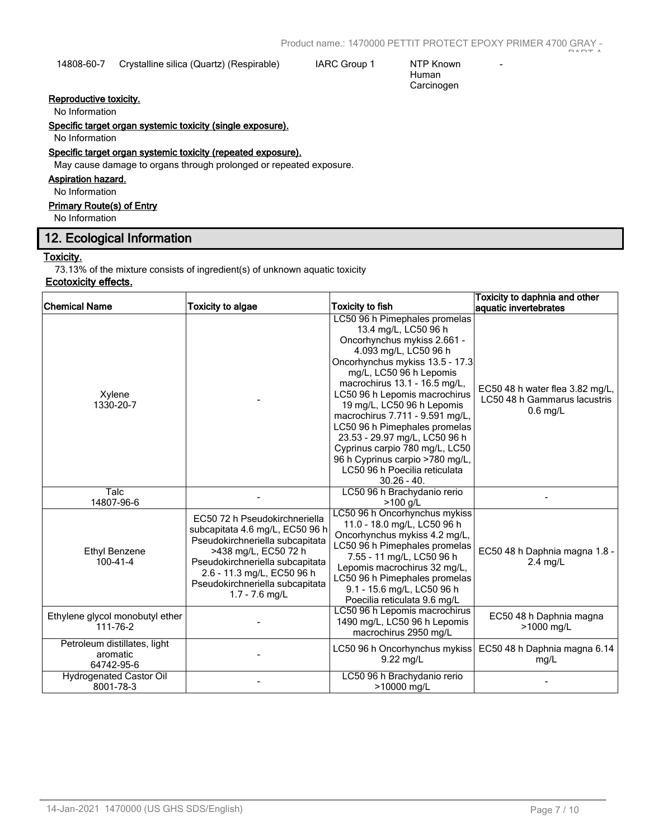14808-60-7 Crystalline silica (Quartz) (Respirable) IARC Group 1 NTP Known

Human Carcinogen -

# **Reproductive toxicity.**

No Information

# **Specific target organ systemic toxicity (single exposure).**

No Information

# **Specific target organ systemic toxicity (repeated exposure).**

May cause damage to organs through prolonged or repeated exposure.

# **Aspiration hazard.**

No Information

# **Primary Route(s) of Entry**

No Information

# **12. Ecological Information**

# **Toxicity.**

73.13% of the mixture consists of ingredient(s) of unknown aquatic toxicity

# **Ecotoxicity effects.**

|                                                        |                                                                                                                                                                                                                                                     |                                                                                                                                                                                                                                                                                                                                                                                                                                                                                                         | Toxicity to daphnia and other                                                 |
|--------------------------------------------------------|-----------------------------------------------------------------------------------------------------------------------------------------------------------------------------------------------------------------------------------------------------|---------------------------------------------------------------------------------------------------------------------------------------------------------------------------------------------------------------------------------------------------------------------------------------------------------------------------------------------------------------------------------------------------------------------------------------------------------------------------------------------------------|-------------------------------------------------------------------------------|
| <b>Chemical Name</b>                                   | <b>Toxicity to algae</b>                                                                                                                                                                                                                            | <b>Toxicity to fish</b>                                                                                                                                                                                                                                                                                                                                                                                                                                                                                 | aquatic invertebrates                                                         |
| Xylene<br>1330-20-7                                    |                                                                                                                                                                                                                                                     | LC50 96 h Pimephales promelas<br>13.4 mg/L, LC50 96 h<br>Oncorhynchus mykiss 2.661 -<br>4.093 mg/L, LC50 96 h<br>Oncorhynchus mykiss 13.5 - 17.3<br>mg/L, LC50 96 h Lepomis<br>macrochirus 13.1 - 16.5 mg/L,<br>LC50 96 h Lepomis macrochirus<br>19 mg/L, LC50 96 h Lepomis<br>macrochirus 7.711 - 9.591 mg/L,<br>LC50 96 h Pimephales promelas<br>23.53 - 29.97 mg/L, LC50 96 h<br>Cyprinus carpio 780 mg/L, LC50<br>96 h Cyprinus carpio >780 mg/L,<br>LC50 96 h Poecilia reticulata<br>$30.26 - 40.$ | EC50 48 h water flea 3.82 mg/L,<br>LC50 48 h Gammarus lacustris<br>$0.6$ mg/L |
| <b>Talc</b><br>14807-96-6                              |                                                                                                                                                                                                                                                     | LC50 96 h Brachydanio rerio<br>$>100$ g/L                                                                                                                                                                                                                                                                                                                                                                                                                                                               |                                                                               |
| <b>Ethyl Benzene</b><br>100-41-4                       | EC50 72 h Pseudokirchneriella<br>subcapitata 4.6 mg/L, EC50 96 h<br>Pseudokirchneriella subcapitata<br>>438 mg/L, EC50 72 h<br>Pseudokirchneriella subcapitata<br>2.6 - 11.3 mg/L, EC50 96 h<br>Pseudokirchneriella subcapitata<br>$1.7 - 7.6$ mg/L | LC50 96 h Oncorhynchus mykiss<br>11.0 - 18.0 mg/L, LC50 96 h<br>Oncorhynchus mykiss 4.2 mg/L,<br>LC50 96 h Pimephales promelas<br>7.55 - 11 mg/L, LC50 96 h<br>Lepomis macrochirus 32 mg/L,<br>LC50 96 h Pimephales promelas<br>9.1 - 15.6 mg/L, LC50 96 h<br>Poecilia reticulata 9.6 mg/L                                                                                                                                                                                                              | EC50 48 h Daphnia magna 1.8 -<br>2.4 mg/L                                     |
| Ethylene glycol monobutyl ether<br>111-76-2            |                                                                                                                                                                                                                                                     | LC50 96 h Lepomis macrochirus<br>1490 mg/L, LC50 96 h Lepomis<br>macrochirus 2950 mg/L                                                                                                                                                                                                                                                                                                                                                                                                                  | EC50 48 h Daphnia magna<br>>1000 mg/L                                         |
| Petroleum distillates, light<br>aromatic<br>64742-95-6 |                                                                                                                                                                                                                                                     | LC50 96 h Oncorhynchus mykiss<br>9.22 mg/L                                                                                                                                                                                                                                                                                                                                                                                                                                                              | EC50 48 h Daphnia magna 6.14<br>mg/L                                          |
| Hydrogenated Castor Oil<br>8001-78-3                   |                                                                                                                                                                                                                                                     | LC50 96 h Brachydanio rerio<br>>10000 ma/L                                                                                                                                                                                                                                                                                                                                                                                                                                                              |                                                                               |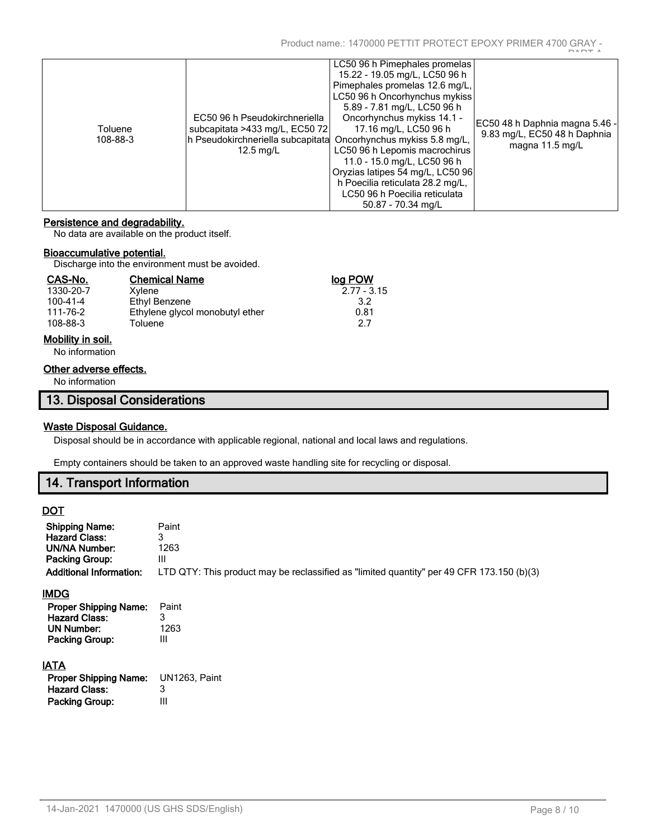| Toluene<br>108-88-3 | EC50 96 h Pseudokirchneriella<br>subcapitata >433 mg/L, EC50 72<br>h Pseudokirchneriella subcapitata<br>$12.5 \text{ mg/L}$ | LC50 96 h Pimephales promelas<br>15.22 - 19.05 mg/L, LC50 96 h<br>Pimephales promelas 12.6 mg/L,<br>LC50 96 h Oncorhynchus mykiss<br>5.89 - 7.81 mg/L, LC50 96 h<br>Oncorhynchus mykiss 14.1 -<br>17.16 mg/L, LC50 96 h<br>Oncorhynchus mykiss 5.8 mg/L,<br>LC50 96 h Lepomis macrochirus<br>11.0 - 15.0 mg/L, LC50 96 h<br>Oryzias latipes 54 mg/L, LC50 96<br>h Poecilia reticulata 28.2 mg/L, | DADT A<br>EC50 48 h Daphnia magna 5.46 -<br>9.83 mg/L, EC50 48 h Daphnia<br>magna 11.5 mg/L |
|---------------------|-----------------------------------------------------------------------------------------------------------------------------|--------------------------------------------------------------------------------------------------------------------------------------------------------------------------------------------------------------------------------------------------------------------------------------------------------------------------------------------------------------------------------------------------|---------------------------------------------------------------------------------------------|
|                     |                                                                                                                             | LC50 96 h Poecilia reticulata<br>50.87 - 70.34 ma/L                                                                                                                                                                                                                                                                                                                                              |                                                                                             |

## **Persistence and degradability.**

No data are available on the product itself.

## **Bioaccumulative potential.**

Discharge into the environment must be avoided.

| CAS-No.   | <b>Chemical Name</b>            | log POW       |
|-----------|---------------------------------|---------------|
| 1330-20-7 | Xvlene                          | $2.77 - 3.15$ |
| 100-41-4  | Ethyl Benzene                   | 3.2           |
| 111-76-2  | Ethylene glycol monobutyl ether | 0.81          |
| 108-88-3  | Toluene                         | 27            |
|           |                                 |               |

# **Mobility in soil.**

No information

# **Other adverse effects.**

No information

# **Waste Disposal Guidance.**

Disposal should be in accordance with applicable regional, national and local laws and regulations.

Empty containers should be taken to an approved waste handling site for recycling or disposal.

# **14. Transport Information**

# **DOT**

| <b>Shipping Name:</b>          | Paint                                                                                     |
|--------------------------------|-------------------------------------------------------------------------------------------|
| <b>Hazard Class:</b>           | 3                                                                                         |
| <b>UN/NA Number:</b>           | 1263                                                                                      |
| Packing Group:                 | Ш                                                                                         |
| <b>Additional Information:</b> | LTD QTY: This product may be reclassified as "limited quantity" per 49 CFR 173.150 (b)(3) |
| IMDG                           |                                                                                           |
| <b>Proper Shipping Name:</b>   | Paint                                                                                     |
| <b>Hazard Class:</b>           | 3                                                                                         |
| UN Number:                     | 1263                                                                                      |
| <b>Packing Group:</b>          | Ш                                                                                         |
| <b>IATA</b>                    |                                                                                           |
| <b>Proper Shipping Name:</b>   | <b>UN1263. Paint</b>                                                                      |
| <b>Hazard Class:</b>           | 3                                                                                         |
| <b>Packing Group:</b>          | Ш                                                                                         |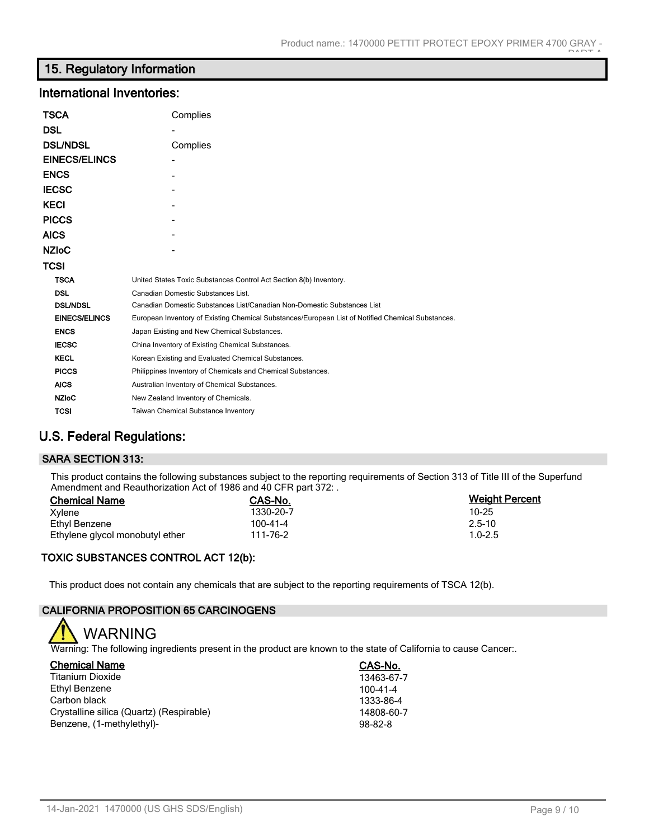# **15. Regulatory Information**

# **International Inventories:**

| <b>TSCA</b>          | Complies                                                                                          |
|----------------------|---------------------------------------------------------------------------------------------------|
| <b>DSL</b>           |                                                                                                   |
| <b>DSL/NDSL</b>      | Complies                                                                                          |
| <b>EINECS/ELINCS</b> |                                                                                                   |
| <b>ENCS</b>          |                                                                                                   |
| <b>IECSC</b>         |                                                                                                   |
| <b>KECI</b>          |                                                                                                   |
| <b>PICCS</b>         |                                                                                                   |
| <b>AICS</b>          |                                                                                                   |
| <b>NZIOC</b>         |                                                                                                   |
| <b>TCSI</b>          |                                                                                                   |
| <b>TSCA</b>          | United States Toxic Substances Control Act Section 8(b) Inventory.                                |
| <b>DSL</b>           | Canadian Domestic Substances List.                                                                |
| <b>DSL/NDSL</b>      | Canadian Domestic Substances List/Canadian Non-Domestic Substances List                           |
| <b>EINECS/ELINCS</b> | European Inventory of Existing Chemical Substances/European List of Notified Chemical Substances. |
| <b>ENCS</b>          | Japan Existing and New Chemical Substances.                                                       |
| <b>IECSC</b>         | China Inventory of Existing Chemical Substances.                                                  |
| <b>KECL</b>          | Korean Existing and Evaluated Chemical Substances.                                                |
| <b>PICCS</b>         | Philippines Inventory of Chemicals and Chemical Substances.                                       |
| <b>AICS</b>          | Australian Inventory of Chemical Substances.                                                      |
| <b>NZIoC</b>         | New Zealand Inventory of Chemicals.                                                               |
| <b>TCSI</b>          | <b>Taiwan Chemical Substance Inventory</b>                                                        |

# **U.S. Federal Regulations:**

# **SARA SECTION 313:**

This product contains the following substances subject to the reporting requirements of Section 313 of Title III of the Superfund Amendment and Reauthorization Act of 1986 and 40 CFR part 372: .

| <b>Chemical Name</b>            | CAS-No.   | <b>Weight Percent</b> |
|---------------------------------|-----------|-----------------------|
| Xvlene                          | 1330-20-7 | $10 - 25$             |
| Ethyl Benzene                   | 100-41-4  | $2.5 - 10$            |
| Ethylene glycol monobutyl ether | 111-76-2  | $1.0 - 2.5$           |

# **TOXIC SUBSTANCES CONTROL ACT 12(b):**

This product does not contain any chemicals that are subject to the reporting requirements of TSCA 12(b).

# **CALIFORNIA PROPOSITION 65 CARCINOGENS**



Warning: The following ingredients present in the product are known to the state of California to cause Cancer:.

| <b>Chemical Name</b>                     | CAS-No.       |
|------------------------------------------|---------------|
| Titanium Dioxide                         | 13463-67-7    |
| Ethyl Benzene                            | 100-41-4      |
| Carbon black                             | 1333-86-4     |
| Crystalline silica (Quartz) (Respirable) | 14808-60-7    |
| Benzene, (1-methylethyl)-                | $98 - 82 - 8$ |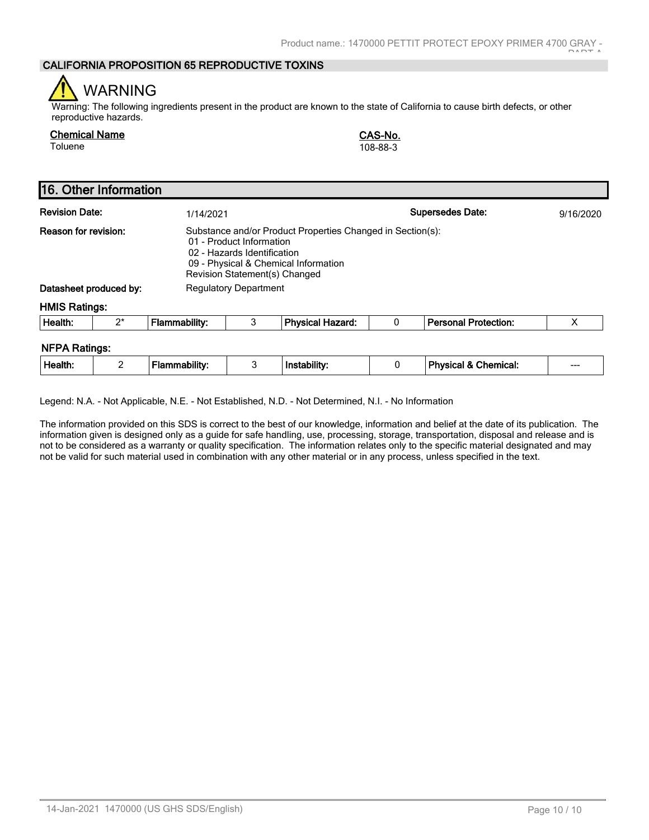# **CALIFORNIA PROPOSITION 65 REPRODUCTIVE TOXINS**

# WARNING

Warning: The following ingredients present in the product are known to the state of California to cause birth defects, or other reproductive hazards.

| <b>Chemical Name</b> | <b>CAS-No</b> |
|----------------------|---------------|
| Toluene              | 108-88-3      |

**Chemical Name CAS-No.**

|                                                                                                                                                                                                                                                                                  | 16. Other Information |                      |   |                         |   |                                 |           |
|----------------------------------------------------------------------------------------------------------------------------------------------------------------------------------------------------------------------------------------------------------------------------------|-----------------------|----------------------|---|-------------------------|---|---------------------------------|-----------|
| <b>Revision Date:</b>                                                                                                                                                                                                                                                            |                       | 1/14/2021            |   |                         |   | <b>Supersedes Date:</b>         | 9/16/2020 |
| Reason for revision:<br>Substance and/or Product Properties Changed in Section(s):<br>01 - Product Information<br>02 - Hazards Identification<br>09 - Physical & Chemical Information<br>Revision Statement(s) Changed<br>Datasheet produced by:<br><b>Regulatory Department</b> |                       |                      |   |                         |   |                                 |           |
| <b>HMIS Ratings:</b>                                                                                                                                                                                                                                                             |                       |                      |   |                         |   |                                 |           |
| Health:                                                                                                                                                                                                                                                                          | $2^*$                 | <b>Flammability:</b> | 3 | <b>Physical Hazard:</b> | 0 | <b>Personal Protection:</b>     | X         |
| <b>NFPA Ratings:</b><br>Health:                                                                                                                                                                                                                                                  | 2                     | <b>Flammability:</b> | 3 | Instability:            | 0 | <b>Physical &amp; Chemical:</b> |           |

Legend: N.A. - Not Applicable, N.E. - Not Established, N.D. - Not Determined, N.I. - No Information

The information provided on this SDS is correct to the best of our knowledge, information and belief at the date of its publication. The information given is designed only as a guide for safe handling, use, processing, storage, transportation, disposal and release and is not to be considered as a warranty or quality specification. The information relates only to the specific material designated and may not be valid for such material used in combination with any other material or in any process, unless specified in the text.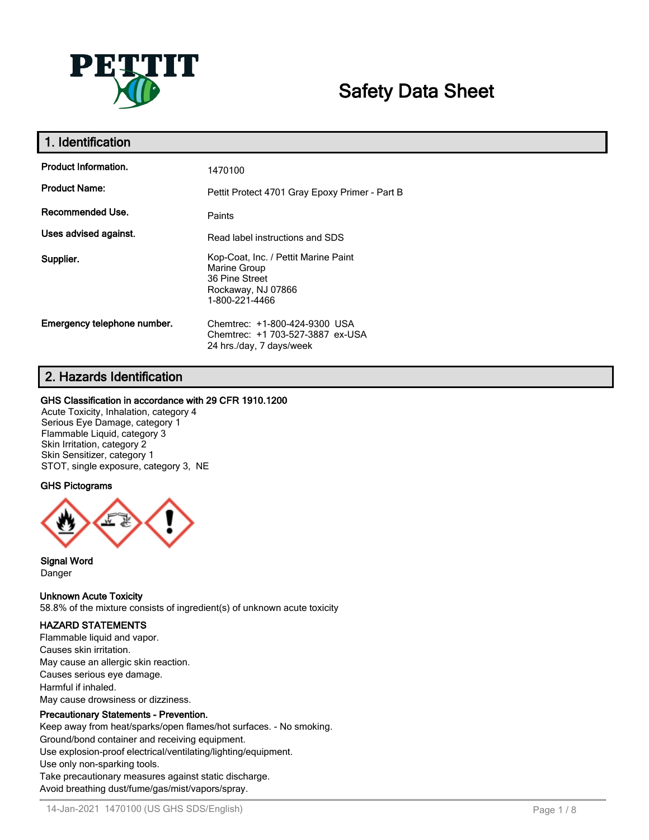

# **Safety Data Sheet**

| 1. Identification           |                                                                                                                |
|-----------------------------|----------------------------------------------------------------------------------------------------------------|
| <b>Product Information.</b> | 1470100                                                                                                        |
| <b>Product Name:</b>        | Pettit Protect 4701 Gray Epoxy Primer - Part B                                                                 |
| Recommended Use.            | Paints                                                                                                         |
| Uses advised against.       | Read label instructions and SDS                                                                                |
| Supplier.                   | Kop-Coat, Inc. / Pettit Marine Paint<br>Marine Group<br>36 Pine Street<br>Rockaway, NJ 07866<br>1-800-221-4466 |
| Emergency telephone number. | Chemtrec: +1-800-424-9300 USA<br>Chemtrec: +1 703-527-3887 ex-USA<br>24 hrs./day, 7 days/week                  |

# **2. Hazards Identification**

## **GHS Classification in accordance with 29 CFR 1910.1200**

Acute Toxicity, Inhalation, category 4 Serious Eye Damage, category 1 Flammable Liquid, category 3 Skin Irritation, category 2 Skin Sensitizer, category 1 STOT, single exposure, category 3, NE

# **GHS Pictograms**



**Signal Word** Danger

**Unknown Acute Toxicity**

58.8% of the mixture consists of ingredient(s) of unknown acute toxicity

# **HAZARD STATEMENTS**

Flammable liquid and vapor. Causes skin irritation. May cause an allergic skin reaction. Causes serious eye damage. Harmful if inhaled. May cause drowsiness or dizziness.

## **Precautionary Statements - Prevention.**

Keep away from heat/sparks/open flames/hot surfaces. - No smoking.

Ground/bond container and receiving equipment.

Use explosion-proof electrical/ventilating/lighting/equipment.

Use only non-sparking tools.

Take precautionary measures against static discharge.

Avoid breathing dust/fume/gas/mist/vapors/spray.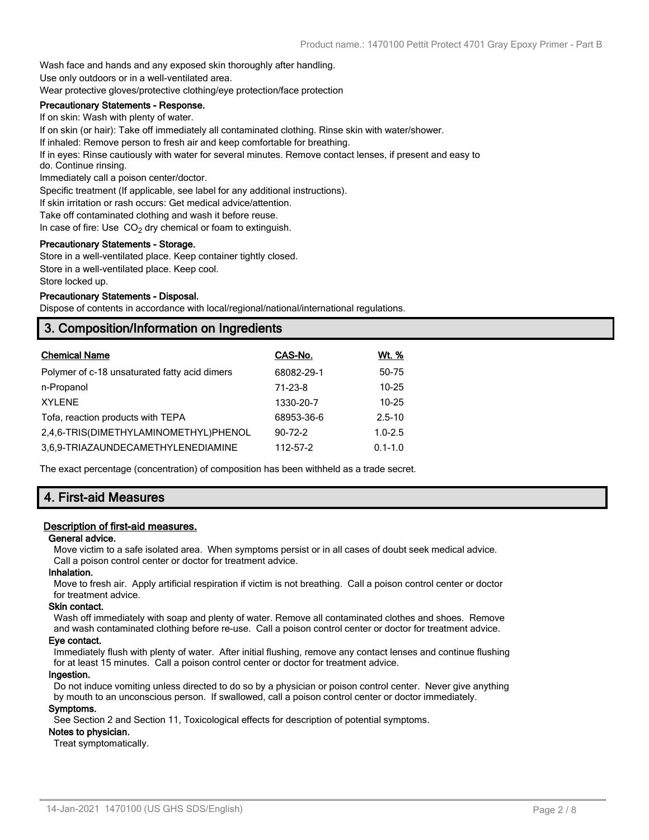Wash face and hands and any exposed skin thoroughly after handling.

Use only outdoors or in a well-ventilated area.

Wear protective gloves/protective clothing/eye protection/face protection

# **Precautionary Statements - Response.**

If on skin: Wash with plenty of water. If on skin (or hair): Take off immediately all contaminated clothing. Rinse skin with water/shower.

If inhaled: Remove person to fresh air and keep comfortable for breathing.

If in eyes: Rinse cautiously with water for several minutes. Remove contact lenses, if present and easy to

do. Continue rinsing.

Immediately call a poison center/doctor.

Specific treatment (If applicable, see label for any additional instructions).

If skin irritation or rash occurs: Get medical advice/attention.

Take off contaminated clothing and wash it before reuse.

In case of fire: Use  $CO<sub>2</sub>$  dry chemical or foam to extinguish.

## **Precautionary Statements - Storage.**

Store in a well-ventilated place. Keep container tightly closed.

Store in a well-ventilated place. Keep cool.

Store locked up.

#### **Precautionary Statements - Disposal.**

Dispose of contents in accordance with local/regional/national/international regulations.

# **3. Composition/Information on Ingredients**

| <b>Chemical Name</b>                          | CAS-No.       | <u>Wt. %</u> |
|-----------------------------------------------|---------------|--------------|
| Polymer of c-18 unsaturated fatty acid dimers | 68082-29-1    | 50-75        |
| n-Propanol                                    | 71-23-8       | $10 - 25$    |
| <b>XYLENE</b>                                 | 1330-20-7     | $10 - 25$    |
| Tofa, reaction products with TEPA             | 68953-36-6    | $2.5 - 10$   |
| 2,4,6-TRIS(DIMETHYLAMINOMETHYL)PHENOL         | $90 - 72 - 2$ | $1.0 - 2.5$  |
| 3.6.9-TRIAZAUNDECAMETHYLENEDIAMINE            | 112-57-2      | $0.1 - 1.0$  |

The exact percentage (concentration) of composition has been withheld as a trade secret.

# **4. First-aid Measures**

## **Description of first-aid measures.**

#### **General advice.**

Move victim to a safe isolated area. When symptoms persist or in all cases of doubt seek medical advice. Call a poison control center or doctor for treatment advice.

#### **Inhalation.**

Move to fresh air. Apply artificial respiration if victim is not breathing. Call a poison control center or doctor for treatment advice.

#### **Skin contact.**

Wash off immediately with soap and plenty of water. Remove all contaminated clothes and shoes. Remove and wash contaminated clothing before re-use. Call a poison control center or doctor for treatment advice.

## **Eye contact.**

Immediately flush with plenty of water. After initial flushing, remove any contact lenses and continue flushing for at least 15 minutes. Call a poison control center or doctor for treatment advice.

#### **Ingestion.**

Do not induce vomiting unless directed to do so by a physician or poison control center. Never give anything by mouth to an unconscious person. If swallowed, call a poison control center or doctor immediately.

#### **Symptoms.**

See Section 2 and Section 11, Toxicological effects for description of potential symptoms.

# **Notes to physician.**

Treat symptomatically.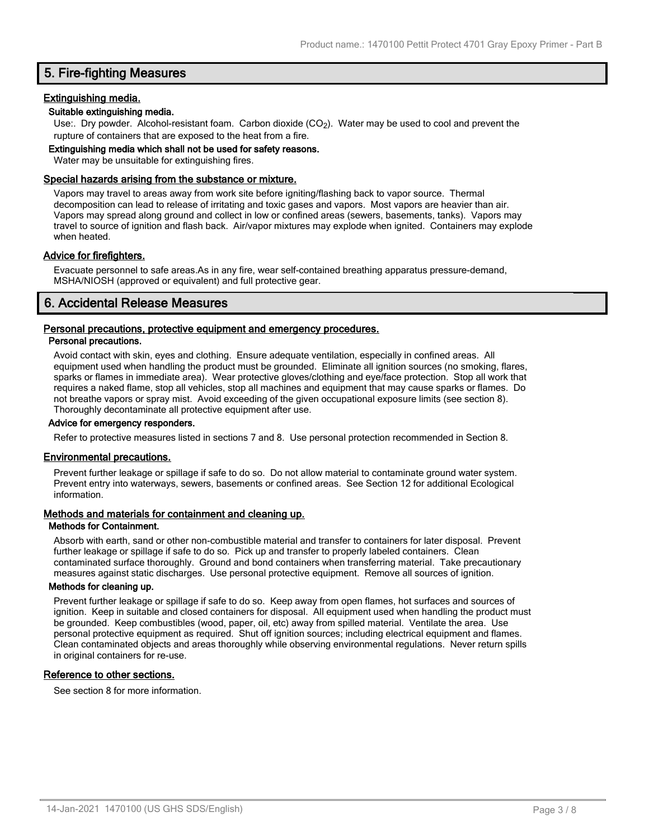# **5. Fire-fighting Measures**

## **Extinguishing media.**

## **Suitable extinguishing media.**

Use:. Dry powder. Alcohol-resistant foam. Carbon dioxide (CO<sub>2</sub>). Water may be used to cool and prevent the rupture of containers that are exposed to the heat from a fire.

## **Extinguishing media which shall not be used for safety reasons.**

Water may be unsuitable for extinguishing fires.

## **Special hazards arising from the substance or mixture.**

Vapors may travel to areas away from work site before igniting/flashing back to vapor source. Thermal decomposition can lead to release of irritating and toxic gases and vapors. Most vapors are heavier than air. Vapors may spread along ground and collect in low or confined areas (sewers, basements, tanks). Vapors may travel to source of ignition and flash back. Air/vapor mixtures may explode when ignited. Containers may explode when heated.

## **Advice for firefighters.**

Evacuate personnel to safe areas.As in any fire, wear self-contained breathing apparatus pressure-demand, MSHA/NIOSH (approved or equivalent) and full protective gear.

# **6. Accidental Release Measures**

## **Personal precautions, protective equipment and emergency procedures.**

#### **Personal precautions.**

Avoid contact with skin, eyes and clothing. Ensure adequate ventilation, especially in confined areas. All equipment used when handling the product must be grounded. Eliminate all ignition sources (no smoking, flares, sparks or flames in immediate area). Wear protective gloves/clothing and eye/face protection. Stop all work that requires a naked flame, stop all vehicles, stop all machines and equipment that may cause sparks or flames. Do not breathe vapors or spray mist. Avoid exceeding of the given occupational exposure limits (see section 8). Thoroughly decontaminate all protective equipment after use.

#### **Advice for emergency responders.**

Refer to protective measures listed in sections 7 and 8. Use personal protection recommended in Section 8.

#### **Environmental precautions.**

Prevent further leakage or spillage if safe to do so. Do not allow material to contaminate ground water system. Prevent entry into waterways, sewers, basements or confined areas. See Section 12 for additional Ecological information.

#### **Methods and materials for containment and cleaning up.**

#### **Methods for Containment.**

Absorb with earth, sand or other non-combustible material and transfer to containers for later disposal. Prevent further leakage or spillage if safe to do so. Pick up and transfer to properly labeled containers. Clean contaminated surface thoroughly. Ground and bond containers when transferring material. Take precautionary measures against static discharges. Use personal protective equipment. Remove all sources of ignition.

#### **Methods for cleaning up.**

Prevent further leakage or spillage if safe to do so. Keep away from open flames, hot surfaces and sources of ignition. Keep in suitable and closed containers for disposal. All equipment used when handling the product must be grounded. Keep combustibles (wood, paper, oil, etc) away from spilled material. Ventilate the area. Use personal protective equipment as required. Shut off ignition sources; including electrical equipment and flames. Clean contaminated objects and areas thoroughly while observing environmental regulations. Never return spills in original containers for re-use.

#### **Reference to other sections.**

See section 8 for more information.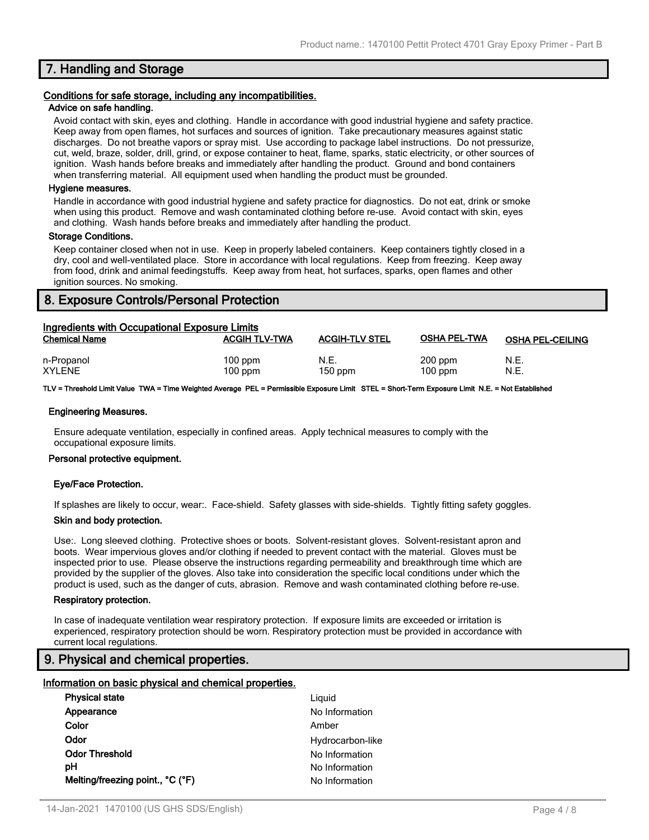# **7. Handling and Storage**

## **Conditions for safe storage, including any incompatibilities.**

#### **Advice on safe handling.**

Avoid contact with skin, eyes and clothing. Handle in accordance with good industrial hygiene and safety practice. Keep away from open flames, hot surfaces and sources of ignition. Take precautionary measures against static discharges. Do not breathe vapors or spray mist. Use according to package label instructions. Do not pressurize, cut, weld, braze, solder, drill, grind, or expose container to heat, flame, sparks, static electricity, or other sources of ignition. Wash hands before breaks and immediately after handling the product. Ground and bond containers when transferring material. All equipment used when handling the product must be grounded.

#### **Hygiene measures.**

Handle in accordance with good industrial hygiene and safety practice for diagnostics. Do not eat, drink or smoke when using this product. Remove and wash contaminated clothing before re-use. Avoid contact with skin, eyes and clothing. Wash hands before breaks and immediately after handling the product.

#### **Storage Conditions.**

Keep container closed when not in use. Keep in properly labeled containers. Keep containers tightly closed in a dry, cool and well-ventilated place. Store in accordance with local regulations. Keep from freezing. Keep away from food, drink and animal feedingstuffs. Keep away from heat, hot surfaces, sparks, open flames and other ignition sources. No smoking.

# **8. Exposure Controls/Personal Protection**

| Ingredients with Occupational Exposure Limits |                        |                       |                        |                         |  |
|-----------------------------------------------|------------------------|-----------------------|------------------------|-------------------------|--|
| <b>Chemical Name</b>                          | <b>ACGIH TLV-TWA</b>   | <b>ACGIH-TLV STEL</b> | <b>OSHA PEL-TWA</b>    | <b>OSHA PEL-CEILING</b> |  |
| n-Propanol<br><b>XYLENE</b>                   | $100$ ppm<br>$100$ ppm | N.E.<br>$150$ ppm     | $200$ ppm<br>$100$ ppm | N.E.<br>N.E.            |  |

**TLV = Threshold Limit Value TWA = Time Weighted Average PEL = Permissible Exposure Limit STEL = Short-Term Exposure Limit N.E. = Not Established**

#### **Engineering Measures.**

Ensure adequate ventilation, especially in confined areas. Apply technical measures to comply with the occupational exposure limits.

#### **Personal protective equipment.**

#### **Eye/Face Protection.**

If splashes are likely to occur, wear:. Face-shield. Safety glasses with side-shields. Tightly fitting safety goggles.

#### **Skin and body protection.**

Use:. Long sleeved clothing. Protective shoes or boots. Solvent-resistant gloves. Solvent-resistant apron and boots. Wear impervious gloves and/or clothing if needed to prevent contact with the material. Gloves must be inspected prior to use. Please observe the instructions regarding permeability and breakthrough time which are provided by the supplier of the gloves. Also take into consideration the specific local conditions under which the product is used, such as the danger of cuts, abrasion. Remove and wash contaminated clothing before re-use.

#### **Respiratory protection.**

In case of inadequate ventilation wear respiratory protection. If exposure limits are exceeded or irritation is experienced, respiratory protection should be worn. Respiratory protection must be provided in accordance with current local regulations.

# **9. Physical and chemical properties.**

#### **Information on basic physical and chemical properties.**

| <b>Physical state</b>            | Liguid           |
|----------------------------------|------------------|
| Appearance                       | No Information   |
| Color                            | Amber            |
| Odor                             | Hydrocarbon-like |
| <b>Odor Threshold</b>            | No Information   |
| рH                               | No Information   |
| Melting/freezing point., °C (°F) | No Information   |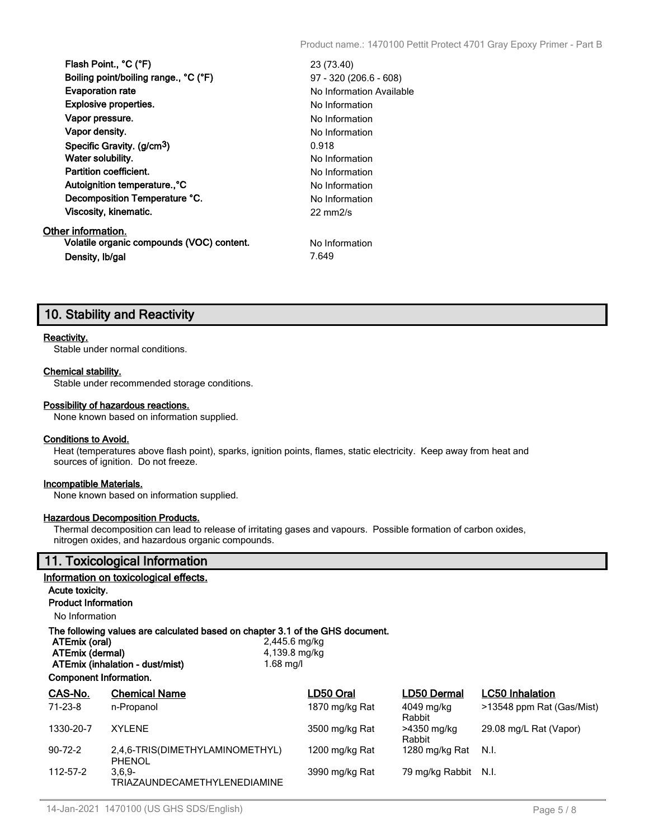| Flash Point., °C (°F)                     | 23 (73.40)               |
|-------------------------------------------|--------------------------|
| Boiling point/boiling range., °C (°F)     | 97 - 320 (206.6 - 608)   |
| <b>Evaporation rate</b>                   | No Information Available |
| <b>Explosive properties.</b>              | No Information           |
| Vapor pressure.                           | No Information           |
| Vapor density.                            | No Information           |
| Specific Gravity. (g/cm <sup>3</sup> )    | 0.918                    |
| Water solubility.                         | No Information           |
| <b>Partition coefficient.</b>             | No Information           |
| Autoignition temperature., °C             | No Information           |
| Decomposition Temperature °C.             | No Information           |
| Viscosity, kinematic.                     | $22 \text{ mm}$ /s       |
| Other information.                        |                          |
| Volatile organic compounds (VOC) content. | No Information           |
| Density, Ib/gal                           | 7.649                    |
|                                           |                          |

# **10. Stability and Reactivity**

#### **Reactivity.**

Stable under normal conditions.

#### **Chemical stability.**

Stable under recommended storage conditions.

#### **Possibility of hazardous reactions.**

None known based on information supplied.

#### **Conditions to Avoid.**

Heat (temperatures above flash point), sparks, ignition points, flames, static electricity. Keep away from heat and sources of ignition. Do not freeze.

#### **Incompatible Materials.**

None known based on information supplied.

#### **Hazardous Decomposition Products.**

Thermal decomposition can lead to release of irritating gases and vapours. Possible formation of carbon oxides, nitrogen oxides, and hazardous organic compounds.

# **11. Toxicological Information**

## **Information on toxicological effects.**

## **Acute toxicity.**

**Product Information**

No Information

# **The following values are calculated based on chapter 3.1 of the GHS document.**

**ATEmix (oral)** 2,445.6 mg/kg **ATEmix (dermal)** 4,139.8 m<br> **ATEmix (inhalation - dust/mist)** 4.68 mg/l

| Component Information. |  |
|------------------------|--|

**ATEmix (inhalation - dust/mist)** 1.68 mg/l

| CAS-No.       | <b>Chemical Name</b>                             | LD50 Oral      | <b>LD50 Dermal</b>    | <b>LC50</b> Inhalation    |
|---------------|--------------------------------------------------|----------------|-----------------------|---------------------------|
| 71-23-8       | n-Propanol                                       | 1870 mg/kg Rat | 4049 mg/kg<br>Rabbit  | >13548 ppm Rat (Gas/Mist) |
| 1330-20-7     | <b>XYLENE</b>                                    | 3500 mg/kg Rat | >4350 mg/kg<br>Rabbit | 29.08 mg/L Rat (Vapor)    |
| $90 - 72 - 2$ | 2.4.6-TRIS(DIMETHYLAMINOMETHYL)<br><b>PHENOL</b> | 1200 mg/kg Rat | 1280 mg/kg Rat        | - N.I.                    |
| 112-57-2      | $3.6.9 -$<br><b>TRIAZAUNDECAMETHYLENEDIAMINE</b> | 3990 mg/kg Rat | 79 mg/kg Rabbit N.I.  |                           |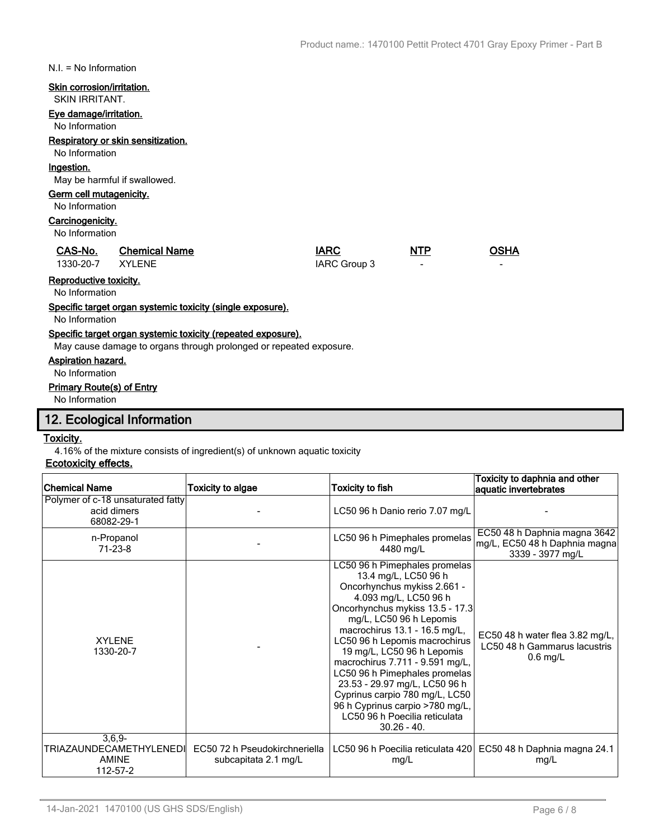N.I. = No Information

## **Skin corrosion/irritation.**

#### SKIN IRRITANT.

# **Eye damage/irritation.**

No Information

## **Respiratory or skin sensitization.**

# No Information

# **Ingestion.**

May be harmful if swallowed.

## **Germ cell mutagenicity.**

#### No Information

## **Carcinogenicity.**

No Information

| CAS-No.          | <b>Chemical Name</b> | <b>IARC</b>  | <b>NTP</b>               | <b>OSHA</b> |
|------------------|----------------------|--------------|--------------------------|-------------|
| 1330-20-7 XYLENE |                      | IARC Group 3 | $\overline{\phantom{a}}$ |             |

# **Reproductive toxicity.**

No Information

# **Specific target organ systemic toxicity (single exposure).**

No Information

#### **Specific target organ systemic toxicity (repeated exposure).**

May cause damage to organs through prolonged or repeated exposure.

## **Aspiration hazard.**

No Information

## **Primary Route(s) of Entry**

No Information

# **12. Ecological Information**

## **Toxicity.**

4.16% of the mixture consists of ingredient(s) of unknown aquatic toxicity

# **Ecotoxicity effects.**

| <b>Chemical Name</b>                                            | <b>Toxicity to algae</b>                              | Toxicity to fish                                                                                                                                                                                                                                                                                                                                                                                                                                                                                        | Toxicity to daphnia and other<br>aquatic invertebrates                            |
|-----------------------------------------------------------------|-------------------------------------------------------|---------------------------------------------------------------------------------------------------------------------------------------------------------------------------------------------------------------------------------------------------------------------------------------------------------------------------------------------------------------------------------------------------------------------------------------------------------------------------------------------------------|-----------------------------------------------------------------------------------|
| Polymer of c-18 unsaturated fatty<br>acid dimers<br>68082-29-1  |                                                       | LC50 96 h Danio rerio 7.07 mg/L                                                                                                                                                                                                                                                                                                                                                                                                                                                                         |                                                                                   |
| n-Propanol<br>$71 - 23 - 8$                                     |                                                       | LC50 96 h Pimephales promelas<br>4480 mg/L                                                                                                                                                                                                                                                                                                                                                                                                                                                              | EC50 48 h Daphnia magna 3642<br>mg/L, EC50 48 h Daphnia magna<br>3339 - 3977 mg/L |
| <b>XYI FNF</b><br>1330-20-7                                     |                                                       | LC50 96 h Pimephales promelas<br>13.4 mg/L, LC50 96 h<br>Oncorhynchus mykiss 2.661 -<br>4.093 mg/L, LC50 96 h<br>Oncorhynchus mykiss 13.5 - 17.3<br>mg/L, LC50 96 h Lepomis<br>macrochirus 13.1 - 16.5 mg/L,<br>LC50 96 h Lepomis macrochirus<br>19 mg/L, LC50 96 h Lepomis<br>macrochirus 7.711 - 9.591 mg/L,<br>LC50 96 h Pimephales promelas<br>23.53 - 29.97 mg/L, LC50 96 h<br>Cyprinus carpio 780 mg/L, LC50<br>96 h Cyprinus carpio >780 mg/L,<br>LC50 96 h Poecilia reticulata<br>$30.26 - 40.$ | EC50 48 h water flea 3.82 mg/L,<br>LC50 48 h Gammarus lacustris<br>$0.6$ mg/L     |
| $3,6,9-$<br>TRIAZAUNDECAMETHYLENEDI<br><b>AMINE</b><br>112-57-2 | EC50 72 h Pseudokirchneriella<br>subcapitata 2.1 mg/L | LC50 96 h Poecilia reticulata 420<br>mg/L                                                                                                                                                                                                                                                                                                                                                                                                                                                               | EC50 48 h Daphnia magna 24.1<br>mg/L                                              |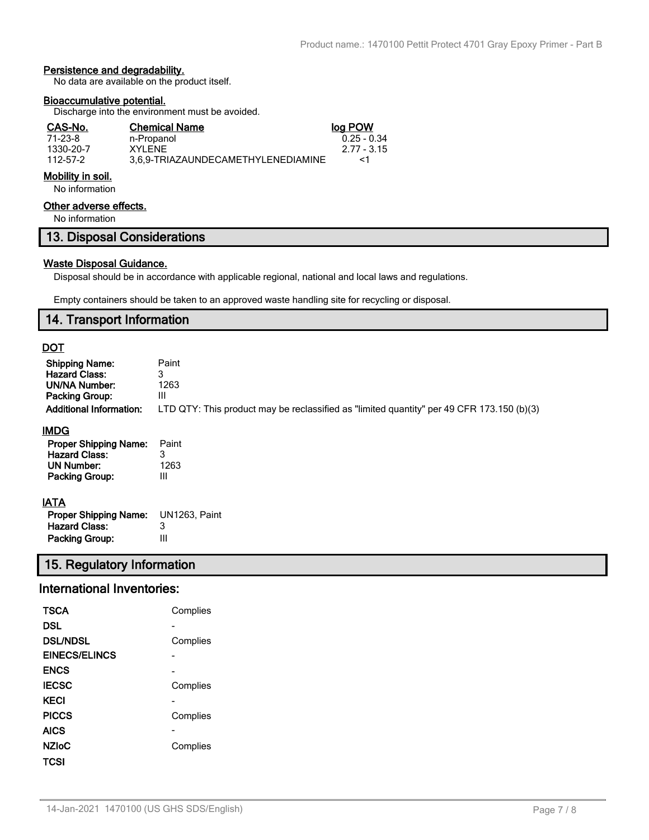# **Persistence and degradability.**

No data are available on the product itself.

#### **Bioaccumulative potential.**

Discharge into the environment must be avoided.

| CAS-No.   | <b>Chemical Name</b>               | log POW       |
|-----------|------------------------------------|---------------|
| 71-23-8   | n-Propanol                         | $0.25 - 0.34$ |
| 1330-20-7 | XYI FNF                            | 2.77 - 3.15   |
| 112-57-2  | 3.6.9-TRIAZAUNDECAMETHYLENEDIAMINE | -1            |

# **Mobility in soil.**

No information

# **Other adverse effects.**

No information

# **13. Disposal Considerations**

#### **Waste Disposal Guidance.**

Disposal should be in accordance with applicable regional, national and local laws and regulations.

Empty containers should be taken to an approved waste handling site for recycling or disposal.

# **14. Transport Information**

# **DOT**

| <b>Shipping Name:</b><br><b>Hazard Class:</b><br>UN/NA Number:<br>Packing Group:<br><b>Additional Information:</b> | Paint<br>3<br>1263<br>Ш<br>LTD QTY: This product may be reclassified as "limited quantity" per 49 CFR 173.150 (b)(3) |
|--------------------------------------------------------------------------------------------------------------------|----------------------------------------------------------------------------------------------------------------------|
| <b>IMDG</b>                                                                                                        |                                                                                                                      |
| <b>Proper Shipping Name:</b>                                                                                       | Paint                                                                                                                |
| <b>Hazard Class:</b>                                                                                               |                                                                                                                      |
| UN Number:                                                                                                         | 1263                                                                                                                 |

# **IATA**

**UN Number:** 

| AIA                          |               |
|------------------------------|---------------|
| <b>Proper Shipping Name:</b> | UN1263. Paint |
| <b>Hazard Class:</b>         | 3             |
| Packing Group:               | Ш             |

# **15. Regulatory Information**

# **International Inventories:**

**Packing Group:** III

| TSCA            | Complies |
|-----------------|----------|
| DSL             |          |
| <b>DSL/NDSL</b> | Complies |
| EINECS/ELINCS   |          |
| <b>ENCS</b>     |          |
| <b>IECSC</b>    | Complies |
| KECI            |          |
| <b>PICCS</b>    | Complies |
| <b>AICS</b>     |          |
| <b>NZIOC</b>    | Complies |
| TCSI            |          |